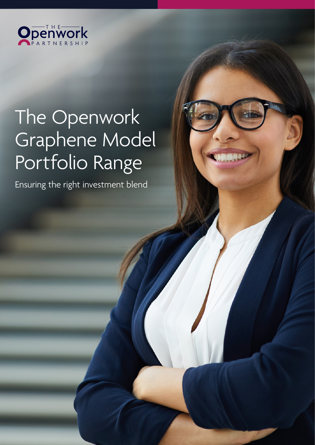

# The Openwork Graphene Model Portfolio Range

Ensuring the right investment blend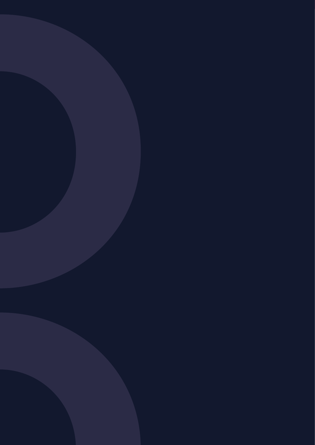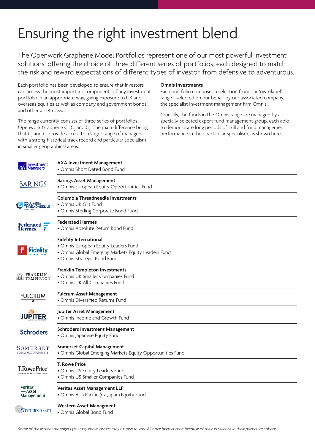## Ensuring the right investment blend

The Openwork Graphene Model Portfolios represent one of our most powerful investment solutions, offering the choice of three different series of portfolios, each designed to match the risk and reward expectations of different types of investor, from defensive to adventurous.

Each portfolio has been developed to ensure that investors can access the most important components of any investment portfolio in an appropriate way, giving exposure to UK and overseas equities as well as company and government bonds and other asset classes.

The range currently consists of three series of portfolios, Openwork Graphene  $C_{\text{p}}$ ,  $C_{\text{2}}$  and  $C_{\text{3}}$ . The main difference being that  $\mathsf{C}_\mathfrak{z}$  and  $\mathsf{C}_\mathfrak{z}$  provide access to a larger range of managers with a strong historical track record and particular specialism in smaller geographical areas.

#### **Omnis Investments**

Each portfolio comprises a selection from our 'own-label' range - selected on our behalf by our associated company, the specialist investment management firm Omnis.

Crucially, the funds in the Omnis range are managed by a specially-selected expert fund management group, each able to demonstrate long periods of skill and fund management performance in their particular specialism, as shown here:

| Investment<br><b>Managers</b>             | <b>AXA Investment Management</b><br>• Omnis Short Dated Bond Fund                                                                                           |
|-------------------------------------------|-------------------------------------------------------------------------------------------------------------------------------------------------------------|
| <b>BARINGS</b>                            | <b>Barings Asset Management</b><br>· Omnis European Equity Opportunities Fund                                                                               |
| <b>COLUMBIA</b><br>THREADNEEDLE           | Columbia Threadneedle Investments<br>· Omnis UK Gilt Fund<br>• Omnis Sterling Corporate Bond Fund                                                           |
| <b>Federated =<br/>Hermes</b>             | <b>Federated Hermes</b><br>• Omnis Absolute Return Bond Fund                                                                                                |
| <b>Fidelity</b>                           | <b>Fidelity International</b><br>· Omnis European Equity Leaders Fund<br>· Omnis Global Emerging Markets Equity Leaders Fund<br>· Omnis Strategic Bond Fund |
| <b>FRANKLIN</b><br><b>TEMPLETON</b>       | Franklin Templeton Investments<br>• Omnis UK Smaller Companies Fund<br>· Omnis UK All Companies Fund                                                        |
| <b>FULCRUM</b>                            | <b>Fulcrum Asset Management</b><br>· Omnis Diversified Returns Fund                                                                                         |
| <b>JUPITER</b>                            | <b>Jupiter Asset Management</b><br>• Omnis Income and Growth Fund                                                                                           |
| <b>Schroders</b>                          | <b>Schroders Investment Management</b><br>• Omnis Japanese Equity Fund                                                                                      |
| SOMERSET<br><b>CAPITAL MANAGEMENT LLP</b> | <b>Somerset Capital Management</b><br>· Omnis Global Emerging Markets Equity Opportunities Fund                                                             |
| T.RowePrice*<br>INVEST WITH CONFIDENCE    | <b>T. Rowe Price</b><br>• Omnis US Equity Leaders Fund<br>· Omnis US Smaller Companies Fund                                                                 |
| <b>Veritas</b><br>— Asset<br>Management   | <b>Veritas Asset Management LLP</b><br>· Omnis Asia Pacific (ex-Japan) Equity Fund                                                                          |
| <b>WESTERNASSET</b>                       | <b>Western Asset Managment</b><br>· Omnis Global Bond Fund                                                                                                  |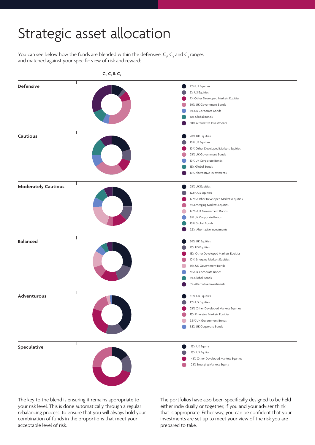### Strategic asset allocation

You can see below how the funds are blended within the defensive,  $\mathsf{C}_{_{\mathsf{I}}},\mathsf{C}_{_{\mathsf{2}}}$  and  $\mathsf{C}_{_{\mathsf{3}}}$  ranges and matched against your specific view of risk and reward:



The key to the blend is ensuring it remains appropriate to your risk level. This is done automatically through a regular rebalancing process, to ensure that you will always hold your combination of funds in the proportions that meet your acceptable level of risk.

The portfolios have also been specifically designed to be held either individually or together, if you and your adviser think that is appropriate. Either way, you can be confident that your investments are set up to meet your view of the risk you are prepared to take.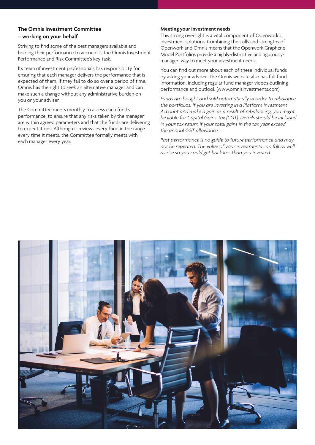### **The Omnis Investment Committee – working on your behalf**

Striving to find some of the best managers available and holding their performance to account is the Omnis Investment Performance and Risk Committee's key task.

Its team of investment professionals has responsibility for ensuring that each manager delivers the performance that is expected of them. If they fail to do so over a period of time, Omnis has the right to seek an alternative manager and can make such a change without any administrative burden on you or your adviser.

The Committee meets monthly to assess each fund's performance, to ensure that any risks taken by the manager are within agreed parameters and that the funds are delivering to expectations. Although it reviews every fund in the range every time it meets, the Committee formally meets with each manager every year.

#### **Meeting your investment needs**

This strong oversight is a vital component of Openwork's investment solutions. Combining the skills and strengths of Openwork and Omnis means that the Openwork Graphene Model Portfolios provide a highly-distinctive and rigorouslymanaged way to meet your investment needs.

You can find out more about each of these individual funds by asking your adviser. The Omnis website also has full fund information, including regular fund manager videos outlining performance and outlook (www.omnisinvestments.com).

*Funds are bought and sold automatically in order to rebalance the portfolios. If you are investing in a Platform Investment Account and make a gain as a result of rebalancing, you might be liable for Capital Gains Tax (CGT). Details should be included in your tax return if your total gains in the tax year exceed the annual CGT allowance.*

*Past performance is no guide to future performance and may not be repeated. The value of your investments can fall as well as rise so you could get back less than you invested.*

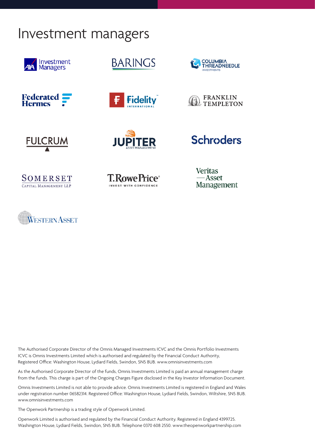### Investment managers



**WESTERN ASSET** 

The Authorised Corporate Director of the Omnis Managed Investments ICVC and the Omnis Portfolio Investments ICVC is Omnis Investments Limited which is authorised and regulated by the Financial Conduct Authority, Registered Office: Washington House, Lydiard Fields, Swindon, SN5 8UB. www.omnisinvestments.com

As the Authorised Corporate Director of the funds, Omnis Investments Limited is paid an annual management charge from the funds. This charge is part of the Ongoing Charges Figure disclosed in the Key Investor Information Document.

Omnis Investments Limited is not able to provide advice. Omnis Investments Limited is registered in England and Wales under registration number 06582314. Registered Office: Washington House, Lydiard Fields, Swindon, Wiltshire, SN5 8UB. www.omnisinvestments.com

The Openwork Partnership is a trading style of Openwork Limited.

Openwork Limited is authorised and regulated by the Financial Conduct Authority. Registered in England 4399725. Washington House, Lydiard Fields, Swindon, SN5 8UB. Telephone 0370 608 2550. www.theopenworkpartnership.com